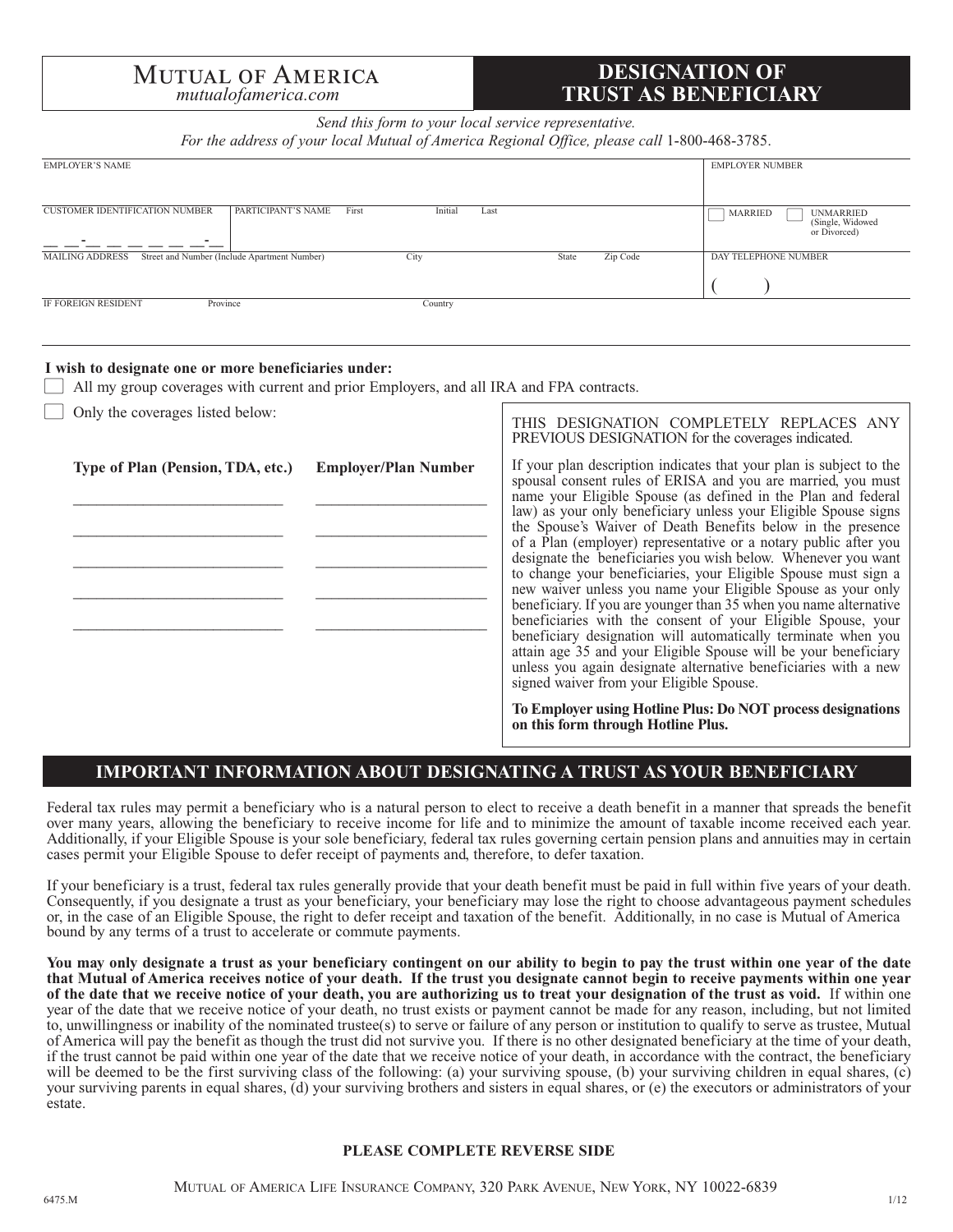# **MUTUAL OF AMERICA**

# **DESIGNATION OF** *mutualofamerica.com* **TRUST AS BENEFICIARY**

*Send this form to your local service representative.*

For the address of your local Mutual of America Regional Office, please call 1-800-468-3785.

| <b>EMPLOYER'S NAME</b>                                                                              | <b>EMPLOYER NUMBER</b>                                                 |
|-----------------------------------------------------------------------------------------------------|------------------------------------------------------------------------|
| <b>CUSTOMER IDENTIFICATION NUMBER</b><br>PARTICIPANT'S NAME<br>First<br>Initial<br>Last<br>-        | <b>MARRIED</b><br><b>UNMARRIED</b><br>(Single, Widowed<br>or Divorced) |
| Zip Code<br><b>MAILING ADDRESS</b><br>Street and Number (Include Apartment Number)<br>City<br>State | DAY TELEPHONE NUMBER                                                   |
| Province<br>IF FOREIGN RESIDENT<br>Country                                                          |                                                                        |

#### **I wish to designate one or more beneficiaries under:**

All my group coverages with current and prior Employers, and all IRA and FPA contracts.

Only the coverages listed below:

| $\perp$ Only the coverages listed below:<br>Type of Plan (Pension, TDA, etc.) | <b>Employer/Plan Number</b> | THIS DESIGNATION COMPLETELY REPLACES ANY<br>PREVIOUS DESIGNATION for the coverages indicated.<br>If your plan description indicates that your plan is subject to the<br>spousal consent rules of ERISA and you are married, you must<br>name your Eligible Spouse (as defined in the Plan and federal<br>law) as your only beneficiary unless your Eligible Spouse signs<br>the Spouse's Waiver of Death Benefits below in the presence<br>of a Plan (employer) representative or a notary public after you                                                                             |  |
|-------------------------------------------------------------------------------|-----------------------------|-----------------------------------------------------------------------------------------------------------------------------------------------------------------------------------------------------------------------------------------------------------------------------------------------------------------------------------------------------------------------------------------------------------------------------------------------------------------------------------------------------------------------------------------------------------------------------------------|--|
|                                                                               |                             | designate the beneficiaries you wish below. Whenever you want<br>to change your beneficiaries, your Eligible Spouse must sign a<br>new waiver unless you name your Eligible Spouse as your only<br>beneficiary. If you are younger than 35 when you name alternative<br>beneficiaries with the consent of your Eligible Spouse, your<br>beneficiary designation will automatically terminate when you<br>attain age 35 and your Eligible Spouse will be your beneficiary<br>unless you again designate alternative beneficiaries with a new<br>signed waiver from your Eligible Spouse. |  |
|                                                                               |                             | To Employer using Hotline Plus: Do NOT process designations<br>on this form through Hotline Plus.                                                                                                                                                                                                                                                                                                                                                                                                                                                                                       |  |

### **IMPORTANT INFORMATION ABOUT DESIGNATING A TRUST AS YOUR BENEFICIARY**

Federal tax rules may permit a beneficiary who is a natural person to elect to receive a death benefit in a manner that spreads the benefit over many years, allowing the beneficiary to receive income for life and to minimize the amount of taxable income received each year. Additionally, if your Eligible Spouse is your sole beneficiary, federal tax rules governing certain pension plans and annuities may in certain cases permit your Eligible Spouse to defer receipt of payments and, therefore, to defer taxation.

If your beneficiary is a trust, federal tax rules generally provide that your death benefit must be paid in full within five years of your death. Consequently, if you designate a trust as your beneficiary, your beneficiary may lose the right to choose advantageous payment schedules or, in the case of an Eligible Spouse, the right to defer receipt and taxation of the benefit. Additionally, in no case is Mutual of America bound by any terms of a trust to accelerate or commute payments.

**You may only designate a trust as your beneficiary contingent on our ability to begin to pay the trust within one year of the date that Mutual of America receives notice of your death. If the trust you designate cannot begin to receive payments within one year of the date that we receive notice of your death, you are authorizing us to treat your designation of the trust as void.** If within one year of the date that we receive notice of your death, no trust exists or payment cannot be made for any reason, including, but not limited to, unwillingness or inability of the nominated trustee(s) to serve or failure of any person or institution to qualify to serve as trustee, Mutual of America will pay the benefit as though the trust did not survive you. If there is no other designated beneficiary at the time of your death, if the trust cannot be paid within one year of the date that we receive notice of your death, in accordance with the contract, the beneficiary will be deemed to be the first surviving class of the following: (a) your surviving spouse, (b) your surviving children in equal shares, (c) your surviving parents in equal shares, (d) your surviving brothers and sisters in equal shares, or (e) the executors or administrators of your estate.

#### **PLEASE COMPLETE REVERSE SIDE**